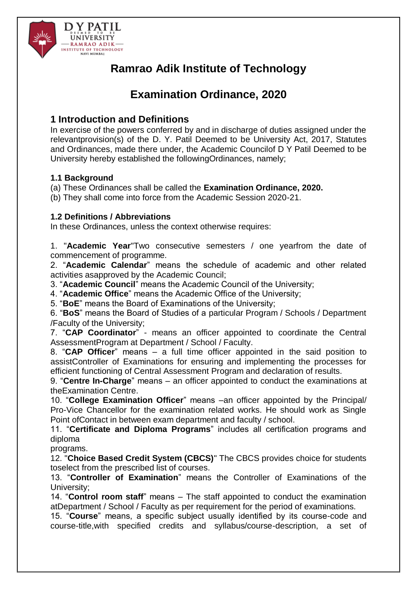

# **Ramrao Adik Institute of Technology**

# **Examination Ordinance, 2020**

## **1 Introduction and Definitions**

In exercise of the powers conferred by and in discharge of duties assigned under the relevantprovision(s) of the D. Y. Patil Deemed to be University Act, 2017, Statutes and Ordinances, made there under, the Academic Councilof D Y Patil Deemed to be University hereby established the followingOrdinances, namely;

### **1.1 Background**

(a) These Ordinances shall be called the **Examination Ordinance, 2020.**

(b) They shall come into force from the Academic Session 2020-21.

## **1.2 Definitions / Abbreviations**

In these Ordinances, unless the context otherwise requires:

1. "**Academic Year**"Two consecutive semesters / one yearfrom the date of commencement of programme.

2. "**Academic Calendar**" means the schedule of academic and other related activities asapproved by the Academic Council;

3. "**Academic Council**" means the Academic Council of the University;

4. "**Academic Office**" means the Academic Office of the University;

5. "**BoE**" means the Board of Examinations of the University;

6. "**BoS**" means the Board of Studies of a particular Program / Schools / Department /Faculty of the University;

7. "**CAP Coordinator**" - means an officer appointed to coordinate the Central AssessmentProgram at Department / School / Faculty.

8. "**CAP Officer**" means – a full time officer appointed in the said position to assistController of Examinations for ensuring and implementing the processes for efficient functioning of Central Assessment Program and declaration of results.

9. "**Centre In-Charge**" means – an officer appointed to conduct the examinations at theExamination Centre.

10. "**College Examination Officer**" means –an officer appointed by the Principal/ Pro-Vice Chancellor for the examination related works. He should work as Single Point ofContact in between exam department and faculty / school.

11. "**Certificate and Diploma Programs**" includes all certification programs and diploma

programs.

12. "**Choice Based Credit System (CBCS)**" The CBCS provides choice for students toselect from the prescribed list of courses.

13. "**Controller of Examination**" means the Controller of Examinations of the University;

14. "**Control room staff**" means – The staff appointed to conduct the examination atDepartment / School / Faculty as per requirement for the period of examinations.

15. "**Course**" means, a specific subject usually identified by its course-code and course-title,with specified credits and syllabus/course-description, a set of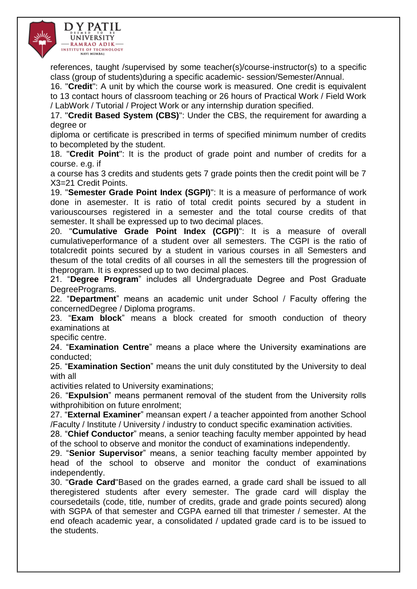

references, taught /supervised by some teacher(s)/course-instructor(s) to a specific class (group of students)during a specific academic- session/Semester/Annual.

16. "**Credit**": A unit by which the course work is measured. One credit is equivalent to 13 contact hours of classroom teaching or 26 hours of Practical Work / Field Work / LabWork / Tutorial / Project Work or any internship duration specified.

17. "**Credit Based System (CBS)**": Under the CBS, the requirement for awarding a degree or

diploma or certificate is prescribed in terms of specified minimum number of credits to becompleted by the student.

18. "**Credit Point**": It is the product of grade point and number of credits for a course. e.g. if

a course has 3 credits and students gets 7 grade points then the credit point will be 7 X3=21 Credit Points.

19. "**Semester Grade Point Index (SGPI)**": It is a measure of performance of work done in asemester. It is ratio of total credit points secured by a student in variouscourses registered in a semester and the total course credits of that semester. It shall be expressed up to two decimal places.

20. "**Cumulative Grade Point Index (CGPI)**": It is a measure of overall cumulativeperformance of a student over all semesters. The CGPI is the ratio of totalcredit points secured by a student in various courses in all Semesters and thesum of the total credits of all courses in all the semesters till the progression of theprogram. It is expressed up to two decimal places.

21. "**Degree Program**" includes all Undergraduate Degree and Post Graduate DegreePrograms.

22. "**Department**" means an academic unit under School / Faculty offering the concernedDegree / Diploma programs.

23. "**Exam block**" means a block created for smooth conduction of theory examinations at

specific centre.

24. "**Examination Centre**" means a place where the University examinations are conducted;

25. "**Examination Section**" means the unit duly constituted by the University to deal with all

activities related to University examinations;

26. "**Expulsion**" means permanent removal of the student from the University rolls withprohibition on future enrolment;

27. "**External Examiner**" meansan expert / a teacher appointed from another School /Faculty / Institute / University / industry to conduct specific examination activities.

28. "**Chief Conductor**" means, a senior teaching faculty member appointed by head of the school to observe and monitor the conduct of examinations independently.

29. "**Senior Supervisor**" means, a senior teaching faculty member appointed by head of the school to observe and monitor the conduct of examinations independently.

30. "**Grade Card**"Based on the grades earned, a grade card shall be issued to all theregistered students after every semester. The grade card will display the coursedetails (code, title, number of credits, grade and grade points secured) along with SGPA of that semester and CGPA earned till that trimester / semester. At the end ofeach academic year, a consolidated / updated grade card is to be issued to the students.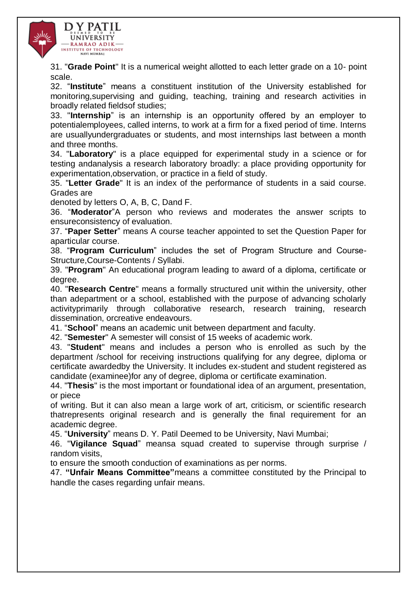

31. "**Grade Point**" It is a numerical weight allotted to each letter grade on a 10- point scale.

32. "**Institute**" means a constituent institution of the University established for monitoring,supervising and guiding, teaching, training and research activities in broadly related fieldsof studies;

33. "**Internship**" is an internship is an opportunity offered by an employer to potentialemployees, called interns, to work at a firm for a fixed period of time. Interns are usuallyundergraduates or students, and most internships last between a month and three months.

34. "**Laboratory**" is a place equipped for experimental study in a science or for testing andanalysis a research laboratory broadly: a place providing opportunity for experimentation,observation, or practice in a field of study.

35. "**Letter Grade**" It is an index of the performance of students in a said course. Grades are

denoted by letters O, A, B, C, Dand F.

36. "**Moderator**"A person who reviews and moderates the answer scripts to ensureconsistency of evaluation.

37. "**Paper Setter**" means A course teacher appointed to set the Question Paper for aparticular course.

38. "**Program Curriculum**" includes the set of Program Structure and Course-Structure,Course-Contents / Syllabi.

39. "**Program**" An educational program leading to award of a diploma, certificate or degree.

40. "**Research Centre**" means a formally structured unit within the university, other than adepartment or a school, established with the purpose of advancing scholarly activityprimarily through collaborative research, research training, research dissemination, orcreative endeavours.

41. "**School**" means an academic unit between department and faculty.

42. "**Semester**" A semester will consist of 15 weeks of academic work.

43. "**Student**" means and includes a person who is enrolled as such by the department /school for receiving instructions qualifying for any degree, diploma or certificate awardedby the University. It includes ex-student and student registered as candidate (examinee)for any of degree, diploma or certificate examination.

44. "**Thesis**" is the most important or foundational idea of an argument, presentation, or piece

of writing. But it can also mean a large work of art, criticism, or scientific research thatrepresents original research and is generally the final requirement for an academic degree.

45. "**University**" means D. Y. Patil Deemed to be University, Navi Mumbai;

46. "**Vigilance Squad**" meansa squad created to supervise through surprise / random visits,

to ensure the smooth conduction of examinations as per norms.

47. **"Unfair Means Committee"**means a committee constituted by the Principal to handle the cases regarding unfair means.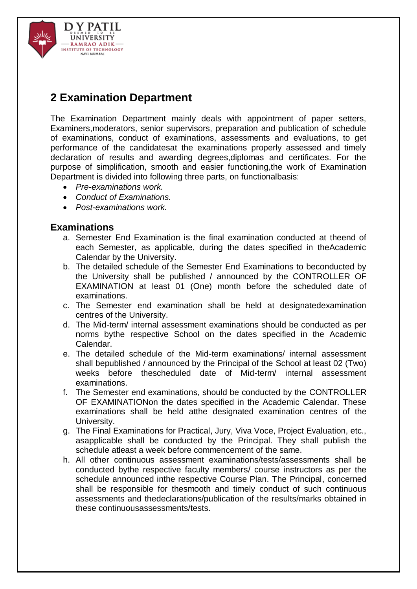

# **2 Examination Department**

The Examination Department mainly deals with appointment of paper setters, Examiners,moderators, senior supervisors, preparation and publication of schedule of examinations, conduct of examinations, assessments and evaluations, to get performance of the candidatesat the examinations properly assessed and timely declaration of results and awarding degrees,diplomas and certificates. For the purpose of simplification, smooth and easier functioning,the work of Examination Department is divided into following three parts, on functionalbasis:

- *Pre-examinations work.*
- *Conduct of Examinations.*
- *Post-examinations work.*

## **Examinations**

- a. Semester End Examination is the final examination conducted at theend of each Semester, as applicable, during the dates specified in theAcademic Calendar by the University.
- b. The detailed schedule of the Semester End Examinations to beconducted by the University shall be published / announced by the CONTROLLER OF EXAMINATION at least 01 (One) month before the scheduled date of examinations.
- c. The Semester end examination shall be held at designatedexamination centres of the University.
- d. The Mid-term/ internal assessment examinations should be conducted as per norms bythe respective School on the dates specified in the Academic Calendar.
- e. The detailed schedule of the Mid-term examinations/ internal assessment shall bepublished / announced by the Principal of the School at least 02 (Two) weeks before thescheduled date of Mid-term/ internal assessment examinations.
- f. The Semester end examinations, should be conducted by the CONTROLLER OF EXAMINATIONon the dates specified in the Academic Calendar. These examinations shall be held atthe designated examination centres of the University.
- g. The Final Examinations for Practical, Jury, Viva Voce, Project Evaluation, etc., asapplicable shall be conducted by the Principal. They shall publish the schedule atleast a week before commencement of the same.
- h. All other continuous assessment examinations/tests/assessments shall be conducted bythe respective faculty members/ course instructors as per the schedule announced inthe respective Course Plan. The Principal, concerned shall be responsible for thesmooth and timely conduct of such continuous assessments and thedeclarations/publication of the results/marks obtained in these continuousassessments/tests.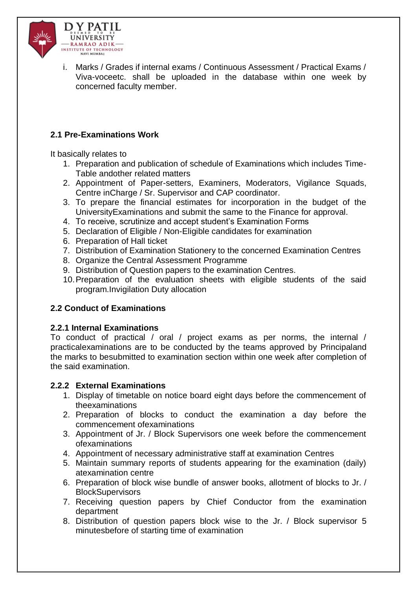

i. Marks / Grades if internal exams / Continuous Assessment / Practical Exams / Viva-voceetc. shall be uploaded in the database within one week by concerned faculty member.

## **2.1 Pre-Examinations Work**

It basically relates to

- 1. Preparation and publication of schedule of Examinations which includes Time-Table andother related matters
- 2. Appointment of Paper-setters, Examiners, Moderators, Vigilance Squads, Centre inCharge / Sr. Supervisor and CAP coordinator.
- 3. To prepare the financial estimates for incorporation in the budget of the UniversityExaminations and submit the same to the Finance for approval.
- 4. To receive, scrutinize and accept student's Examination Forms
- 5. Declaration of Eligible / Non-Eligible candidates for examination
- 6. Preparation of Hall ticket
- 7. Distribution of Examination Stationery to the concerned Examination Centres
- 8. Organize the Central Assessment Programme
- 9. Distribution of Question papers to the examination Centres.
- 10.Preparation of the evaluation sheets with eligible students of the said program.Invigilation Duty allocation

## **2.2 Conduct of Examinations**

### **2.2.1 Internal Examinations**

To conduct of practical / oral / project exams as per norms, the internal / practicalexaminations are to be conducted by the teams approved by Principaland the marks to besubmitted to examination section within one week after completion of the said examination.

### **2.2.2 External Examinations**

- 1. Display of timetable on notice board eight days before the commencement of theexaminations
- 2. Preparation of blocks to conduct the examination a day before the commencement ofexaminations
- 3. Appointment of Jr. / Block Supervisors one week before the commencement ofexaminations
- 4. Appointment of necessary administrative staff at examination Centres
- 5. Maintain summary reports of students appearing for the examination (daily) atexamination centre
- 6. Preparation of block wise bundle of answer books, allotment of blocks to Jr. / **BlockSupervisors**
- 7. Receiving question papers by Chief Conductor from the examination department
- 8. Distribution of question papers block wise to the Jr. / Block supervisor 5 minutesbefore of starting time of examination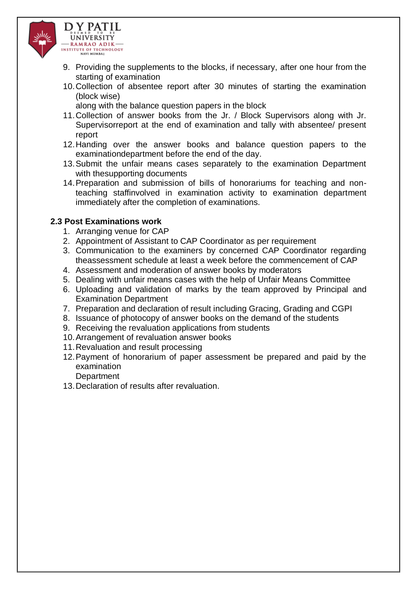

- 9. Providing the supplements to the blocks, if necessary, after one hour from the starting of examination
- 10.Collection of absentee report after 30 minutes of starting the examination (block wise)
	- along with the balance question papers in the block
- 11.Collection of answer books from the Jr. / Block Supervisors along with Jr. Supervisorreport at the end of examination and tally with absentee/ present report
- 12.Handing over the answer books and balance question papers to the examinationdepartment before the end of the day.
- 13.Submit the unfair means cases separately to the examination Department with thesupporting documents
- 14.Preparation and submission of bills of honorariums for teaching and nonteaching staffinvolved in examination activity to examination department immediately after the completion of examinations.

### **2.3 Post Examinations work**

- 1. Arranging venue for CAP
- 2. Appointment of Assistant to CAP Coordinator as per requirement
- 3. Communication to the examiners by concerned CAP Coordinator regarding theassessment schedule at least a week before the commencement of CAP
- 4. Assessment and moderation of answer books by moderators
- 5. Dealing with unfair means cases with the help of Unfair Means Committee
- 6. Uploading and validation of marks by the team approved by Principal and Examination Department
- 7. Preparation and declaration of result including Gracing, Grading and CGPI
- 8. Issuance of photocopy of answer books on the demand of the students
- 9. Receiving the revaluation applications from students
- 10.Arrangement of revaluation answer books
- 11.Revaluation and result processing
- 12.Payment of honorarium of paper assessment be prepared and paid by the examination
	- **Department**
- 13.Declaration of results after revaluation.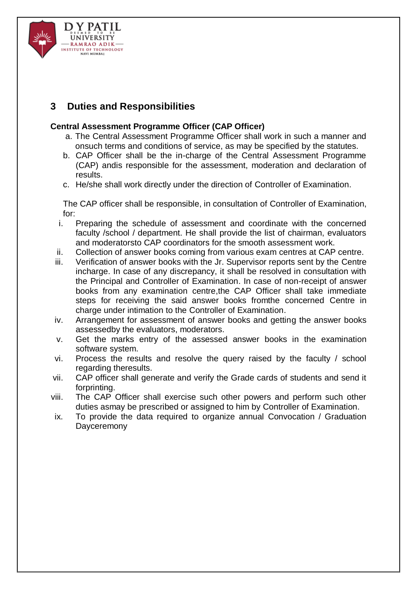

# **3 Duties and Responsibilities**

### **Central Assessment Programme Officer (CAP Officer)**

- a. The Central Assessment Programme Officer shall work in such a manner and onsuch terms and conditions of service, as may be specified by the statutes.
- b. CAP Officer shall be the in-charge of the Central Assessment Programme (CAP) andis responsible for the assessment, moderation and declaration of results.
- c. He/she shall work directly under the direction of Controller of Examination.

The CAP officer shall be responsible, in consultation of Controller of Examination, for:

- i. Preparing the schedule of assessment and coordinate with the concerned faculty /school / department. He shall provide the list of chairman, evaluators and moderatorsto CAP coordinators for the smooth assessment work.
- ii. Collection of answer books coming from various exam centres at CAP centre.
- iii. Verification of answer books with the Jr. Supervisor reports sent by the Centre incharge. In case of any discrepancy, it shall be resolved in consultation with the Principal and Controller of Examination. In case of non-receipt of answer books from any examination centre,the CAP Officer shall take immediate steps for receiving the said answer books fromthe concerned Centre in charge under intimation to the Controller of Examination.
- iv. Arrangement for assessment of answer books and getting the answer books assessedby the evaluators, moderators.
- v. Get the marks entry of the assessed answer books in the examination software system.
- vi. Process the results and resolve the query raised by the faculty / school regarding theresults.
- vii. CAP officer shall generate and verify the Grade cards of students and send it forprinting.
- viii. The CAP Officer shall exercise such other powers and perform such other duties asmay be prescribed or assigned to him by Controller of Examination.
- ix. To provide the data required to organize annual Convocation / Graduation **Dayceremony**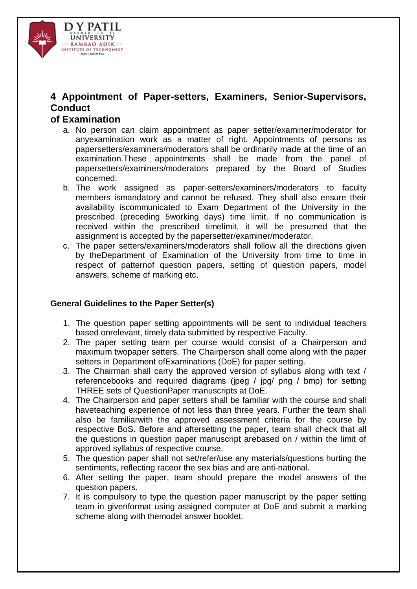

# **4 Appointment of Paper-setters, Examiners, Senior-Supervisors, Conduct**

### **of Examination**

- a. No person can claim appointment as paper setter/examiner/moderator for anyexamination work as a matter of right. Appointments of persons as papersetters/examiners/moderators shall be ordinarily made at the time of an examination.These appointments shall be made from the panel of papersetters/examiners/moderators prepared by the Board of Studies concerned.
- b. The work assigned as paper-setters/examiners/moderators to faculty members ismandatory and cannot be refused. They shall also ensure their availability iscommunicated to Exam Department of the University in the prescribed (preceding 5working days) time limit. If no communication is received within the prescribed timelimit, it will be presumed that the assignment is accepted by the papersetter/examiner/moderator.
- c. The paper setters/examiners/moderators shall follow all the directions given by theDepartment of Examination of the University from time to time in respect of patternof question papers, setting of question papers, model answers, scheme of marking etc.

### **General Guidelines to the Paper Setter(s)**

- 1. The question paper setting appointments will be sent to individual teachers based onrelevant, timely data submitted by respective Faculty.
- 2. The paper setting team per course would consist of a Chairperson and maximum twopaper setters. The Chairperson shall come along with the paper setters in Department ofExaminations (DoE) for paper setting.
- 3. The Chairman shall carry the approved version of syllabus along with text / referencebooks and required diagrams (jpeg / jpg/ png / bmp) for setting THREE sets of QuestionPaper manuscripts at DoE.
- 4. The Chairperson and paper setters shall be familiar with the course and shall haveteaching experience of not less than three years. Further the team shall also be familiarwith the approved assessment criteria for the course by respective BoS. Before and aftersetting the paper, team shall check that all the questions in question paper manuscript arebased on / within the limit of approved syllabus of respective course.
- 5. The question paper shall not set/refer/use any materials/questions hurting the sentiments, reflecting raceor the sex bias and are anti-national.
- 6. After setting the paper, team should prepare the model answers of the question papers.
- 7. It is compulsory to type the question paper manuscript by the paper setting team in givenformat using assigned computer at DoE and submit a marking scheme along with themodel answer booklet.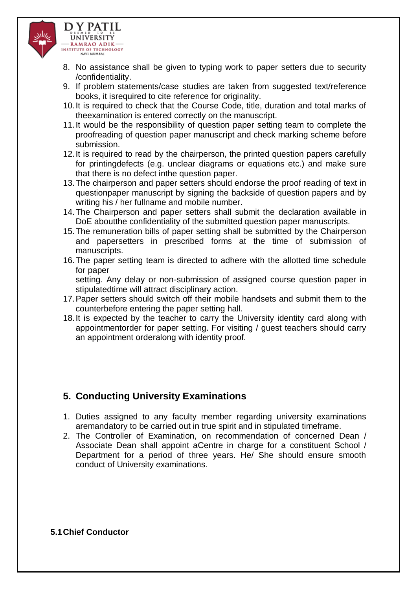

- 8. No assistance shall be given to typing work to paper setters due to security /confidentiality.
- 9. If problem statements/case studies are taken from suggested text/reference books, it isrequired to cite reference for originality.
- 10.It is required to check that the Course Code, title, duration and total marks of theexamination is entered correctly on the manuscript.
- 11.It would be the responsibility of question paper setting team to complete the proofreading of question paper manuscript and check marking scheme before submission.
- 12.It is required to read by the chairperson, the printed question papers carefully for printingdefects (e.g. unclear diagrams or equations etc.) and make sure that there is no defect inthe question paper.
- 13.The chairperson and paper setters should endorse the proof reading of text in questionpaper manuscript by signing the backside of question papers and by writing his / her fullname and mobile number.
- 14.The Chairperson and paper setters shall submit the declaration available in DoE aboutthe confidentiality of the submitted question paper manuscripts.
- 15.The remuneration bills of paper setting shall be submitted by the Chairperson and papersetters in prescribed forms at the time of submission of manuscripts.
- 16.The paper setting team is directed to adhere with the allotted time schedule for paper

setting. Any delay or non-submission of assigned course question paper in stipulatedtime will attract disciplinary action.

- 17.Paper setters should switch off their mobile handsets and submit them to the counterbefore entering the paper setting hall.
- 18.It is expected by the teacher to carry the University identity card along with appointmentorder for paper setting. For visiting / guest teachers should carry an appointment orderalong with identity proof.

## **5. Conducting University Examinations**

- 1. Duties assigned to any faculty member regarding university examinations aremandatory to be carried out in true spirit and in stipulated timeframe.
- 2. The Controller of Examination, on recommendation of concerned Dean / Associate Dean shall appoint aCentre in charge for a constituent School / Department for a period of three years. He/ She should ensure smooth conduct of University examinations.

### **5.1Chief Conductor**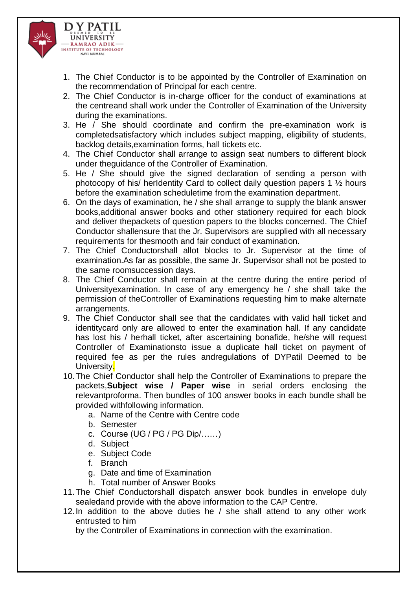

- 1. The Chief Conductor is to be appointed by the Controller of Examination on the recommendation of Principal for each centre.
- 2. The Chief Conductor is in-charge officer for the conduct of examinations at the centreand shall work under the Controller of Examination of the University during the examinations.
- 3. He / She should coordinate and confirm the pre-examination work is completedsatisfactory which includes subject mapping, eligibility of students, backlog details,examination forms, hall tickets etc.
- 4. The Chief Conductor shall arrange to assign seat numbers to different block under theguidance of the Controller of Examination.
- 5. He / She should give the signed declaration of sending a person with photocopy of his/ herIdentity Card to collect daily question papers 1 ½ hours before the examination scheduletime from the examination department.
- 6. On the days of examination, he / she shall arrange to supply the blank answer books,additional answer books and other stationery required for each block and deliver thepackets of question papers to the blocks concerned. The Chief Conductor shallensure that the Jr. Supervisors are supplied with all necessary requirements for thesmooth and fair conduct of examination.
- 7. The Chief Conductorshall allot blocks to Jr. Supervisor at the time of examination.As far as possible, the same Jr. Supervisor shall not be posted to the same roomsuccession days.
- 8. The Chief Conductor shall remain at the centre during the entire period of Universityexamination. In case of any emergency he / she shall take the permission of theController of Examinations requesting him to make alternate arrangements.
- 9. The Chief Conductor shall see that the candidates with valid hall ticket and identitycard only are allowed to enter the examination hall. If any candidate has lost his / herhall ticket, after ascertaining bonafide, he/she will request Controller of Examinationsto issue a duplicate hall ticket on payment of required fee as per the rules andregulations of DYPatil Deemed to be University.
- 10.The Chief Conductor shall help the Controller of Examinations to prepare the packets,**Subject wise / Paper wise** in serial orders enclosing the relevantproforma. Then bundles of 100 answer books in each bundle shall be provided withfollowing information.
	- a. Name of the Centre with Centre code
	- b. Semester
	- c. Course (UG / PG / PG Dip/……)
	- d. Subject
	- e. Subject Code
	- f. Branch
	- g. Date and time of Examination
	- h. Total number of Answer Books
- 11.The Chief Conductorshall dispatch answer book bundles in envelope duly sealedand provide with the above information to the CAP Centre.
- 12.In addition to the above duties he / she shall attend to any other work entrusted to him

by the Controller of Examinations in connection with the examination.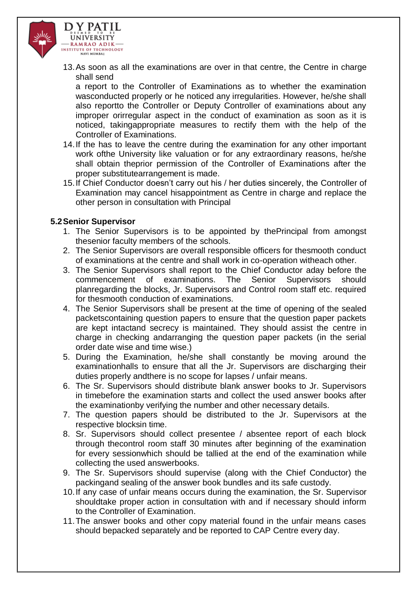

13.As soon as all the examinations are over in that centre, the Centre in charge shall send

a report to the Controller of Examinations as to whether the examination wasconducted properly or he noticed any irregularities. However, he/she shall also reportto the Controller or Deputy Controller of examinations about any improper orirregular aspect in the conduct of examination as soon as it is noticed, takingappropriate measures to rectify them with the help of the Controller of Examinations.

- 14.If the has to leave the centre during the examination for any other important work ofthe University like valuation or for any extraordinary reasons, he/she shall obtain theprior permission of the Controller of Examinations after the proper substitutearrangement is made.
- 15.If Chief Conductor doesn't carry out his / her duties sincerely, the Controller of Examination may cancel hisappointment as Centre in charge and replace the other person in consultation with Principal

#### **5.2Senior Supervisor**

- 1. The Senior Supervisors is to be appointed by thePrincipal from amongst thesenior faculty members of the schools.
- 2. The Senior Supervisors are overall responsible officers for thesmooth conduct of examinations at the centre and shall work in co-operation witheach other.
- 3. The Senior Supervisors shall report to the Chief Conductor aday before the commencement of examinations. The Senior Supervisors should planregarding the blocks, Jr. Supervisors and Control room staff etc. required for thesmooth conduction of examinations.
- 4. The Senior Supervisors shall be present at the time of opening of the sealed packetscontaining question papers to ensure that the question paper packets are kept intactand secrecy is maintained. They should assist the centre in charge in checking andarranging the question paper packets (in the serial order date wise and time wise.)
- 5. During the Examination, he/she shall constantly be moving around the examinationhalls to ensure that all the Jr. Supervisors are discharging their duties properly andthere is no scope for lapses / unfair means.
- 6. The Sr. Supervisors should distribute blank answer books to Jr. Supervisors in timebefore the examination starts and collect the used answer books after the examinationby verifying the number and other necessary details.
- 7. The question papers should be distributed to the Jr. Supervisors at the respective blocksin time.
- 8. Sr. Supervisors should collect presentee / absentee report of each block through thecontrol room staff 30 minutes after beginning of the examination for every sessionwhich should be tallied at the end of the examination while collecting the used answerbooks.
- 9. The Sr. Supervisors should supervise (along with the Chief Conductor) the packingand sealing of the answer book bundles and its safe custody.
- 10.If any case of unfair means occurs during the examination, the Sr. Supervisor shouldtake proper action in consultation with and if necessary should inform to the Controller of Examination.
- 11.The answer books and other copy material found in the unfair means cases should bepacked separately and be reported to CAP Centre every day.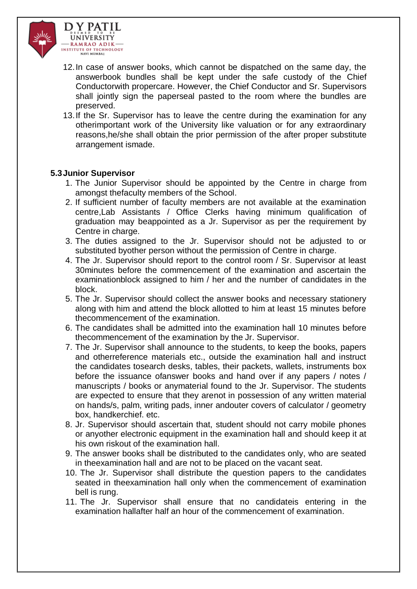

- 12.In case of answer books, which cannot be dispatched on the same day, the answerbook bundles shall be kept under the safe custody of the Chief Conductorwith propercare. However, the Chief Conductor and Sr. Supervisors shall jointly sign the paperseal pasted to the room where the bundles are preserved.
- 13.If the Sr. Supervisor has to leave the centre during the examination for any otherimportant work of the University like valuation or for any extraordinary reasons,he/she shall obtain the prior permission of the after proper substitute arrangement ismade.

#### **5.3Junior Supervisor**

- 1. The Junior Supervisor should be appointed by the Centre in charge from amongst thefaculty members of the School.
- 2. If sufficient number of faculty members are not available at the examination centre,Lab Assistants / Office Clerks having minimum qualification of graduation may beappointed as a Jr. Supervisor as per the requirement by Centre in charge.
- 3. The duties assigned to the Jr. Supervisor should not be adjusted to or substituted byother person without the permission of Centre in charge.
- 4. The Jr. Supervisor should report to the control room / Sr. Supervisor at least 30minutes before the commencement of the examination and ascertain the examinationblock assigned to him / her and the number of candidates in the block.
- 5. The Jr. Supervisor should collect the answer books and necessary stationery along with him and attend the block allotted to him at least 15 minutes before thecommencement of the examination.
- 6. The candidates shall be admitted into the examination hall 10 minutes before thecommencement of the examination by the Jr. Supervisor.
- 7. The Jr. Supervisor shall announce to the students, to keep the books, papers and otherreference materials etc., outside the examination hall and instruct the candidates tosearch desks, tables, their packets, wallets, instruments box before the issuance ofanswer books and hand over if any papers / notes / manuscripts / books or anymaterial found to the Jr. Supervisor. The students are expected to ensure that they arenot in possession of any written material on hands/s, palm, writing pads, inner andouter covers of calculator / geometry box, handkerchief. etc.
- 8. Jr. Supervisor should ascertain that, student should not carry mobile phones or anyother electronic equipment in the examination hall and should keep it at his own riskout of the examination hall.
- 9. The answer books shall be distributed to the candidates only, who are seated in theexamination hall and are not to be placed on the vacant seat.
- 10. The Jr. Supervisor shall distribute the question papers to the candidates seated in theexamination hall only when the commencement of examination bell is rung.
- 11. The Jr. Supervisor shall ensure that no candidateis entering in the examination hallafter half an hour of the commencement of examination.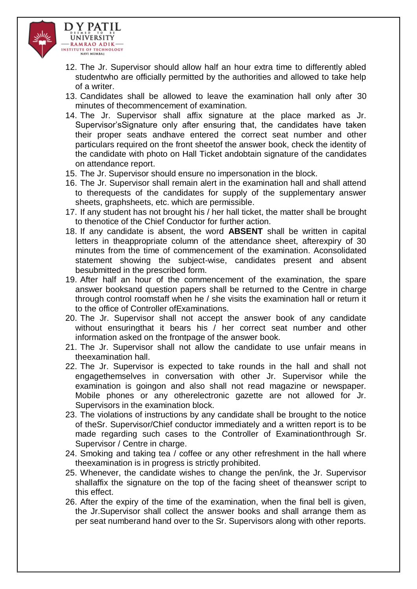

- 12. The Jr. Supervisor should allow half an hour extra time to differently abled studentwho are officially permitted by the authorities and allowed to take help of a writer.
- 13. Candidates shall be allowed to leave the examination hall only after 30 minutes of thecommencement of examination.
- 14. The Jr. Supervisor shall affix signature at the place marked as Jr. Supervisor'sSignature only after ensuring that, the candidates have taken their proper seats andhave entered the correct seat number and other particulars required on the front sheetof the answer book, check the identity of the candidate with photo on Hall Ticket andobtain signature of the candidates on attendance report.
- 15. The Jr. Supervisor should ensure no impersonation in the block.
- 16. The Jr. Supervisor shall remain alert in the examination hall and shall attend to therequests of the candidates for supply of the supplementary answer sheets, graphsheets, etc. which are permissible.
- 17. If any student has not brought his / her hall ticket, the matter shall be brought to thenotice of the Chief Conductor for further action.
- 18. If any candidate is absent, the word **ABSENT** shall be written in capital letters in theappropriate column of the attendance sheet, afterexpiry of 30 minutes from the time of commencement of the examination. Aconsolidated statement showing the subject-wise, candidates present and absent besubmitted in the prescribed form.
- 19. After half an hour of the commencement of the examination, the spare answer booksand question papers shall be returned to the Centre in charge through control roomstaff when he / she visits the examination hall or return it to the office of Controller ofExaminations.
- 20. The Jr. Supervisor shall not accept the answer book of any candidate without ensuringthat it bears his / her correct seat number and other information asked on the frontpage of the answer book.
- 21. The Jr. Supervisor shall not allow the candidate to use unfair means in theexamination hall.
- 22. The Jr. Supervisor is expected to take rounds in the hall and shall not engagethemselves in conversation with other Jr. Supervisor while the examination is goingon and also shall not read magazine or newspaper. Mobile phones or any otherelectronic gazette are not allowed for Jr. Supervisors in the examination block.
- 23. The violations of instructions by any candidate shall be brought to the notice of theSr. Supervisor/Chief conductor immediately and a written report is to be made regarding such cases to the Controller of Examinationthrough Sr. Supervisor / Centre in charge.
- 24. Smoking and taking tea / coffee or any other refreshment in the hall where theexamination is in progress is strictly prohibited.
- 25. Whenever, the candidate wishes to change the pen/ink, the Jr. Supervisor shallaffix the signature on the top of the facing sheet of theanswer script to this effect.
- 26. After the expiry of the time of the examination, when the final bell is given, the Jr.Supervisor shall collect the answer books and shall arrange them as per seat numberand hand over to the Sr. Supervisors along with other reports.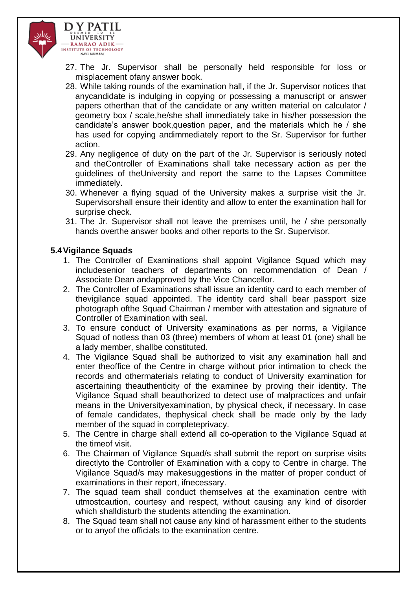

- 27. The Jr. Supervisor shall be personally held responsible for loss or misplacement ofany answer book.
- 28. While taking rounds of the examination hall, if the Jr. Supervisor notices that anycandidate is indulging in copying or possessing a manuscript or answer papers otherthan that of the candidate or any written material on calculator / geometry box / scale,he/she shall immediately take in his/her possession the candidate's answer book,question paper, and the materials which he / she has used for copying andimmediately report to the Sr. Supervisor for further action.
- 29. Any negligence of duty on the part of the Jr. Supervisor is seriously noted and theController of Examinations shall take necessary action as per the guidelines of theUniversity and report the same to the Lapses Committee immediately.
- 30. Whenever a flying squad of the University makes a surprise visit the Jr. Supervisorshall ensure their identity and allow to enter the examination hall for surprise check.
- 31. The Jr. Supervisor shall not leave the premises until, he / she personally hands overthe answer books and other reports to the Sr. Supervisor.

### **5.4Vigilance Squads**

- 1. The Controller of Examinations shall appoint Vigilance Squad which may includesenior teachers of departments on recommendation of Dean / Associate Dean andapproved by the Vice Chancellor.
- 2. The Controller of Examinations shall issue an identity card to each member of thevigilance squad appointed. The identity card shall bear passport size photograph ofthe Squad Chairman / member with attestation and signature of Controller of Examination with seal.
- 3. To ensure conduct of University examinations as per norms, a Vigilance Squad of notless than 03 (three) members of whom at least 01 (one) shall be a lady member, shallbe constituted.
- 4. The Vigilance Squad shall be authorized to visit any examination hall and enter theoffice of the Centre in charge without prior intimation to check the records and othermaterials relating to conduct of University examination for ascertaining theauthenticity of the examinee by proving their identity. The Vigilance Squad shall beauthorized to detect use of malpractices and unfair means in the Universityexamination, by physical check, if necessary. In case of female candidates, thephysical check shall be made only by the lady member of the squad in completeprivacy.
- 5. The Centre in charge shall extend all co-operation to the Vigilance Squad at the timeof visit.
- 6. The Chairman of Vigilance Squad/s shall submit the report on surprise visits directlyto the Controller of Examination with a copy to Centre in charge. The Vigilance Squad/s may makesuggestions in the matter of proper conduct of examinations in their report, ifnecessary.
- 7. The squad team shall conduct themselves at the examination centre with utmostcaution, courtesy and respect, without causing any kind of disorder which shalldisturb the students attending the examination.
- 8. The Squad team shall not cause any kind of harassment either to the students or to anyof the officials to the examination centre.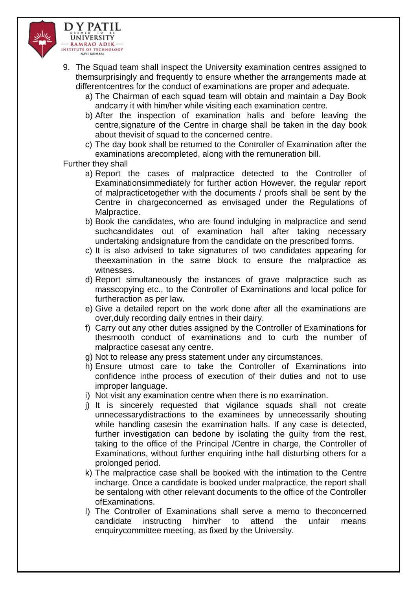

- 9. The Squad team shall inspect the University examination centres assigned to themsurprisingly and frequently to ensure whether the arrangements made at differentcentres for the conduct of examinations are proper and adequate.
	- a) The Chairman of each squad team will obtain and maintain a Day Book andcarry it with him/her while visiting each examination centre.
	- b) After the inspection of examination halls and before leaving the centre,signature of the Centre in charge shall be taken in the day book about thevisit of squad to the concerned centre.
	- c) The day book shall be returned to the Controller of Examination after the examinations arecompleted, along with the remuneration bill.

Further they shall

- a) Report the cases of malpractice detected to the Controller of Examinationsimmediately for further action However, the regular report of malpracticetogether with the documents / proofs shall be sent by the Centre in chargeconcerned as envisaged under the Regulations of Malpractice.
- b) Book the candidates, who are found indulging in malpractice and send suchcandidates out of examination hall after taking necessary undertaking andsignature from the candidate on the prescribed forms.
- c) It is also advised to take signatures of two candidates appearing for theexamination in the same block to ensure the malpractice as witnesses.
- d) Report simultaneously the instances of grave malpractice such as masscopying etc., to the Controller of Examinations and local police for furtheraction as per law.
- e) Give a detailed report on the work done after all the examinations are over,duly recording daily entries in their dairy.
- f) Carry out any other duties assigned by the Controller of Examinations for thesmooth conduct of examinations and to curb the number of malpractice casesat any centre.
- g) Not to release any press statement under any circumstances.
- h) Ensure utmost care to take the Controller of Examinations into confidence inthe process of execution of their duties and not to use improper language.
- i) Not visit any examination centre when there is no examination.
- j) It is sincerely requested that vigilance squads shall not create unnecessarydistractions to the examinees by unnecessarily shouting while handling casesin the examination halls. If any case is detected, further investigation can bedone by isolating the guilty from the rest, taking to the office of the Principal /Centre in charge, the Controller of Examinations, without further enquiring inthe hall disturbing others for a prolonged period.
- k) The malpractice case shall be booked with the intimation to the Centre incharge. Once a candidate is booked under malpractice, the report shall be sentalong with other relevant documents to the office of the Controller ofExaminations.
- l) The Controller of Examinations shall serve a memo to theconcerned candidate instructing him/her to attend the unfair means enquirycommittee meeting, as fixed by the University.